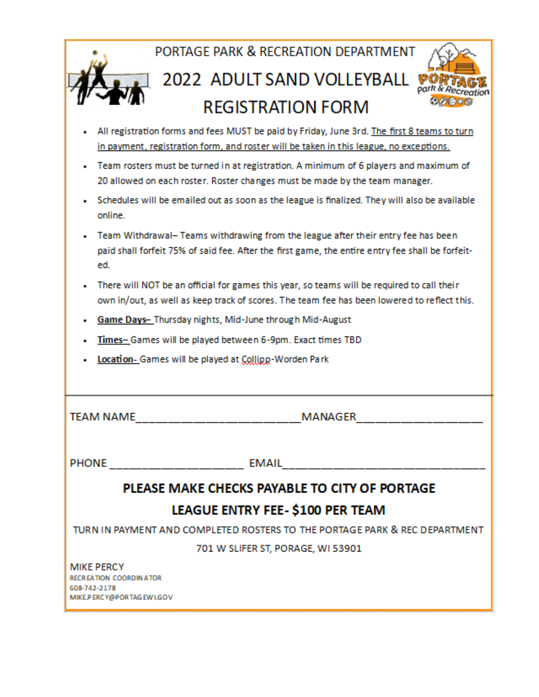| PORTAGE PARK & RECREATION DEPARTMENT                                                                                                                                                         |  |  |  |  |  |  |  |  |  |  |  |  |
|----------------------------------------------------------------------------------------------------------------------------------------------------------------------------------------------|--|--|--|--|--|--|--|--|--|--|--|--|
| 2022 ADULT SAND VOLLEYBALL                                                                                                                                                                   |  |  |  |  |  |  |  |  |  |  |  |  |
| <b>REGISTRATION FORM</b>                                                                                                                                                                     |  |  |  |  |  |  |  |  |  |  |  |  |
| All registration forms and fees MUST be paid by Friday, June 3rd. The first 8 teams to turn<br>in payment, registration form, and roster will be taken in this league, no exceptions.        |  |  |  |  |  |  |  |  |  |  |  |  |
| Team rosters must be turned in at registration. A minimum of 6 players and maximum of<br>20 allowed on each roster. Roster changes must be made by the team manager.                         |  |  |  |  |  |  |  |  |  |  |  |  |
| Schedules will be emailed out as soon as the league is finalized. They will also be available<br>online.                                                                                     |  |  |  |  |  |  |  |  |  |  |  |  |
| Team Withdrawal- Teams withdrawing from the league after their entry fee has been<br>paid shall forfeit 75% of said fee. After the first game, the entire entry fee shall be forfeit-<br>ed. |  |  |  |  |  |  |  |  |  |  |  |  |
| There will NOT be an official for games this year, so teams will be required to call their<br>own in/out, as well as keep track of scores. The team fee has been lowered to reflect this.    |  |  |  |  |  |  |  |  |  |  |  |  |
| Game Days- Thursday nights, Mid-June through Mid-August                                                                                                                                      |  |  |  |  |  |  |  |  |  |  |  |  |
| Times-Games will be played between 6-9pm. Exact times TBD                                                                                                                                    |  |  |  |  |  |  |  |  |  |  |  |  |
| Location - Games will be played at Collipp-Worden Park                                                                                                                                       |  |  |  |  |  |  |  |  |  |  |  |  |
| <b>TEAM NAME</b><br>MANAGER                                                                                                                                                                  |  |  |  |  |  |  |  |  |  |  |  |  |
| <b>EMAIL</b><br>PHONE ____________________                                                                                                                                                   |  |  |  |  |  |  |  |  |  |  |  |  |
| PLEASE MAKE CHECKS PAYABLE TO CITY OF PORTAGE                                                                                                                                                |  |  |  |  |  |  |  |  |  |  |  |  |
| LEAGUE ENTRY FEE- \$100 PER TEAM                                                                                                                                                             |  |  |  |  |  |  |  |  |  |  |  |  |
| TURN IN PAYMENT AND COMPLETED ROSTERS TO THE PORTAGE PARK & REC DEPARTMENT                                                                                                                   |  |  |  |  |  |  |  |  |  |  |  |  |
| 701 W SLIFER ST, PORAGE, WI 53901                                                                                                                                                            |  |  |  |  |  |  |  |  |  |  |  |  |
| <b>MIKE PERCY</b><br>RECREATION COORDINATOR<br>608-742-2178<br>MIKE.PERCY@PORTAGEWI.GOV                                                                                                      |  |  |  |  |  |  |  |  |  |  |  |  |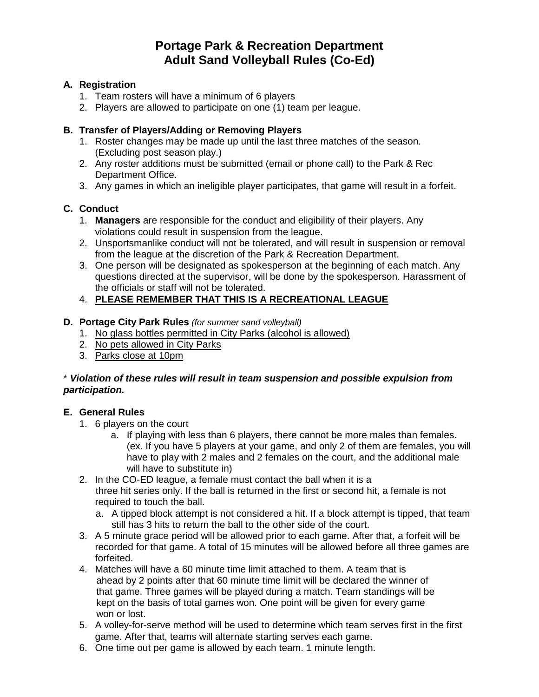## **Portage Park & Recreation Department Adult Sand Volleyball Rules (Co-Ed)**

### **A. Registration**

- 1. Team rosters will have a minimum of 6 players
- 2. Players are allowed to participate on one (1) team per league.

### **B. Transfer of Players/Adding or Removing Players**

- 1. Roster changes may be made up until the last three matches of the season. (Excluding post season play.)
- 2. Any roster additions must be submitted (email or phone call) to the Park & Rec Department Office.
- 3. Any games in which an ineligible player participates, that game will result in a forfeit.

### **C. Conduct**

- 1. **Managers** are responsible for the conduct and eligibility of their players. Any violations could result in suspension from the league.
- 2. Unsportsmanlike conduct will not be tolerated, and will result in suspension or removal from the league at the discretion of the Park & Recreation Department.
- 3. One person will be designated as spokesperson at the beginning of each match. Any questions directed at the supervisor, will be done by the spokesperson. Harassment of the officials or staff will not be tolerated.

### 4. **PLEASE REMEMBER THAT THIS IS A RECREATIONAL LEAGUE**

### **D. Portage City Park Rules** *(for summer sand volleyball)*

- 1. No glass bottles permitted in City Parks (alcohol is allowed)
- 2. No pets allowed in City Parks
- 3. Parks close at 10pm

### \* *Violation of these rules will result in team suspension and possible expulsion from participation.*

### **E. General Rules**

- 1. 6 players on the court
	- a. If playing with less than 6 players, there cannot be more males than females. (ex. If you have 5 players at your game, and only 2 of them are females, you will have to play with 2 males and 2 females on the court, and the additional male will have to substitute in)
- 2. In the CO-ED league, a female must contact the ball when it is a three hit series only. If the ball is returned in the first or second hit, a female is not required to touch the ball.
	- a. A tipped block attempt is not considered a hit. If a block attempt is tipped, that team still has 3 hits to return the ball to the other side of the court.
- 3. A 5 minute grace period will be allowed prior to each game. After that, a forfeit will be recorded for that game. A total of 15 minutes will be allowed before all three games are forfeited.
- 4. Matches will have a 60 minute time limit attached to them. A team that is ahead by 2 points after that 60 minute time limit will be declared the winner of that game. Three games will be played during a match. Team standings will be kept on the basis of total games won. One point will be given for every game won or lost.
- 5. A volley-for-serve method will be used to determine which team serves first in the first game. After that, teams will alternate starting serves each game.
- 6. One time out per game is allowed by each team. 1 minute length.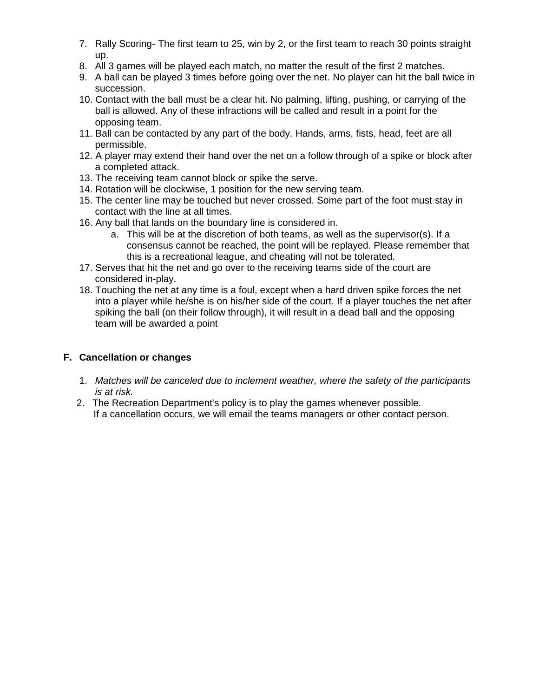- 7. Rally Scoring- The first team to 25, win by 2, or the first team to reach 30 points straight up.
- 8. All 3 games will be played each match, no matter the result of the first 2 matches.
- 9. A ball can be played 3 times before going over the net. No player can hit the ball twice in succession.
- 10. Contact with the ball must be a clear hit. No palming, lifting, pushing, or carrying of the ball is allowed. Any of these infractions will be called and result in a point for the opposing team.
- 11. Ball can be contacted by any part of the body. Hands, arms, fists, head, feet are all permissible.
- 12. A player may extend their hand over the net on a follow through of a spike or block after a completed attack.
- 13. The receiving team cannot block or spike the serve.
- 14. Rotation will be clockwise, 1 position for the new serving team.
- 15. The center line may be touched but never crossed. Some part of the foot must stay in contact with the line at all times.
- 16. Any ball that lands on the boundary line is considered in.
	- a. This will be at the discretion of both teams, as well as the supervisor(s). If a consensus cannot be reached, the point will be replayed. Please remember that this is a recreational league, and cheating will not be tolerated.
- 17. Serves that hit the net and go over to the receiving teams side of the court are considered in-play.
- 18. Touching the net at any time is a foul, except when a hard driven spike forces the net into a player while he/she is on his/her side of the court. If a player touches the net after spiking the ball (on their follow through), it will result in a dead ball and the opposing team will be awarded a point

### **F. Cancellation or changes**

- 1. *Matches will be canceled due to inclement weather, where the safety of the participants is at risk.*
- 2. The Recreation Department's policy is to play the games whenever possible. If a cancellation occurs, we will email the teams managers or other contact person.